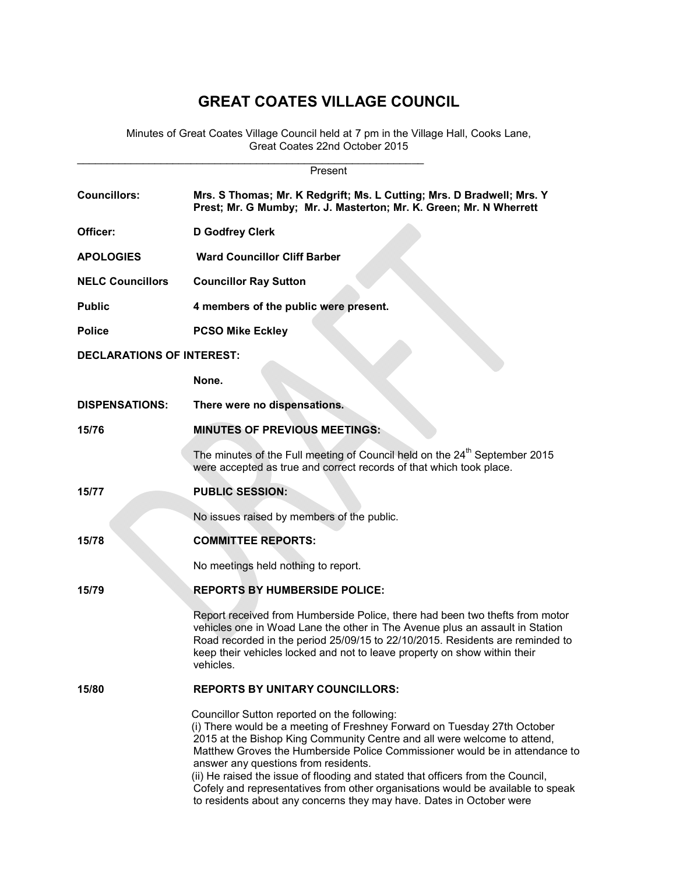## GREAT COATES VILLAGE COUNCIL

Minutes of Great Coates Village Council held at 7 pm in the Village Hall, Cooks Lane, Great Coates 22nd October 2015

| Present                          |                                                                                                                                                                                                                                                                                                                                                                                                                                                                                                                                                                           |  |  |  |
|----------------------------------|---------------------------------------------------------------------------------------------------------------------------------------------------------------------------------------------------------------------------------------------------------------------------------------------------------------------------------------------------------------------------------------------------------------------------------------------------------------------------------------------------------------------------------------------------------------------------|--|--|--|
| <b>Councillors:</b>              | Mrs. S Thomas; Mr. K Redgrift; Ms. L Cutting; Mrs. D Bradwell; Mrs. Y<br>Prest; Mr. G Mumby; Mr. J. Masterton; Mr. K. Green; Mr. N Wherrett                                                                                                                                                                                                                                                                                                                                                                                                                               |  |  |  |
| Officer:                         | D Godfrey Clerk                                                                                                                                                                                                                                                                                                                                                                                                                                                                                                                                                           |  |  |  |
| <b>APOLOGIES</b>                 | <b>Ward Councillor Cliff Barber</b>                                                                                                                                                                                                                                                                                                                                                                                                                                                                                                                                       |  |  |  |
| <b>NELC Councillors</b>          | <b>Councillor Ray Sutton</b>                                                                                                                                                                                                                                                                                                                                                                                                                                                                                                                                              |  |  |  |
| <b>Public</b>                    | 4 members of the public were present.                                                                                                                                                                                                                                                                                                                                                                                                                                                                                                                                     |  |  |  |
| <b>Police</b>                    | <b>PCSO Mike Eckley</b>                                                                                                                                                                                                                                                                                                                                                                                                                                                                                                                                                   |  |  |  |
| <b>DECLARATIONS OF INTEREST:</b> |                                                                                                                                                                                                                                                                                                                                                                                                                                                                                                                                                                           |  |  |  |
|                                  | None.                                                                                                                                                                                                                                                                                                                                                                                                                                                                                                                                                                     |  |  |  |
| <b>DISPENSATIONS:</b>            | There were no dispensations.                                                                                                                                                                                                                                                                                                                                                                                                                                                                                                                                              |  |  |  |
| 15/76                            | <b>MINUTES OF PREVIOUS MEETINGS:</b>                                                                                                                                                                                                                                                                                                                                                                                                                                                                                                                                      |  |  |  |
|                                  | The minutes of the Full meeting of Council held on the 24 <sup>th</sup> September 2015<br>were accepted as true and correct records of that which took place.                                                                                                                                                                                                                                                                                                                                                                                                             |  |  |  |
| 15/77                            | <b>PUBLIC SESSION:</b>                                                                                                                                                                                                                                                                                                                                                                                                                                                                                                                                                    |  |  |  |
|                                  | No issues raised by members of the public.                                                                                                                                                                                                                                                                                                                                                                                                                                                                                                                                |  |  |  |
| 15/78                            | <b>COMMITTEE REPORTS:</b>                                                                                                                                                                                                                                                                                                                                                                                                                                                                                                                                                 |  |  |  |
|                                  | No meetings held nothing to report.                                                                                                                                                                                                                                                                                                                                                                                                                                                                                                                                       |  |  |  |
| 15/79                            | <b>REPORTS BY HUMBERSIDE POLICE:</b>                                                                                                                                                                                                                                                                                                                                                                                                                                                                                                                                      |  |  |  |
|                                  | Report received from Humberside Police, there had been two thefts from motor<br>vehicles one in Woad Lane the other in The Avenue plus an assault in Station<br>Road recorded in the period 25/09/15 to 22/10/2015. Residents are reminded to<br>keep their vehicles locked and not to leave property on show within their<br>vehicles.                                                                                                                                                                                                                                   |  |  |  |
| 15/80                            | <b>REPORTS BY UNITARY COUNCILLORS:</b>                                                                                                                                                                                                                                                                                                                                                                                                                                                                                                                                    |  |  |  |
|                                  | Councillor Sutton reported on the following:<br>(i) There would be a meeting of Freshney Forward on Tuesday 27th October<br>2015 at the Bishop King Community Centre and all were welcome to attend,<br>Matthew Groves the Humberside Police Commissioner would be in attendance to<br>answer any questions from residents.<br>(ii) He raised the issue of flooding and stated that officers from the Council,<br>Cofely and representatives from other organisations would be available to speak<br>to residents about any concerns they may have. Dates in October were |  |  |  |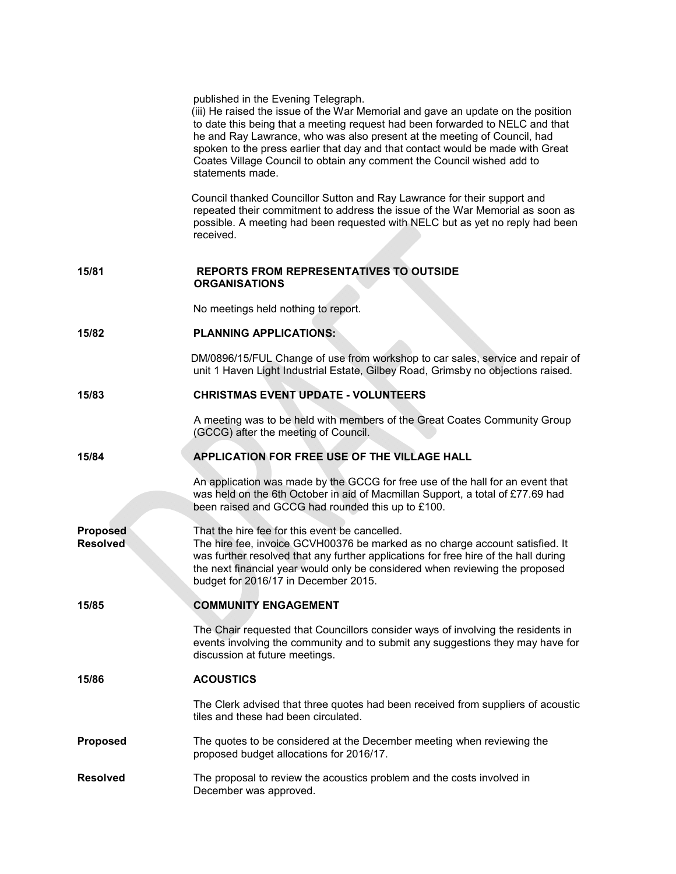|                                    | published in the Evening Telegraph.<br>(iii) He raised the issue of the War Memorial and gave an update on the position<br>to date this being that a meeting request had been forwarded to NELC and that<br>he and Ray Lawrance, who was also present at the meeting of Council, had<br>spoken to the press earlier that day and that contact would be made with Great<br>Coates Village Council to obtain any comment the Council wished add to<br>statements made. |
|------------------------------------|----------------------------------------------------------------------------------------------------------------------------------------------------------------------------------------------------------------------------------------------------------------------------------------------------------------------------------------------------------------------------------------------------------------------------------------------------------------------|
|                                    | Council thanked Councillor Sutton and Ray Lawrance for their support and<br>repeated their commitment to address the issue of the War Memorial as soon as<br>possible. A meeting had been requested with NELC but as yet no reply had been<br>received.                                                                                                                                                                                                              |
| 15/81                              | <b>REPORTS FROM REPRESENTATIVES TO OUTSIDE</b><br><b>ORGANISATIONS</b>                                                                                                                                                                                                                                                                                                                                                                                               |
|                                    | No meetings held nothing to report.                                                                                                                                                                                                                                                                                                                                                                                                                                  |
| 15/82                              | <b>PLANNING APPLICATIONS:</b>                                                                                                                                                                                                                                                                                                                                                                                                                                        |
|                                    | DM/0896/15/FUL Change of use from workshop to car sales, service and repair of<br>unit 1 Haven Light Industrial Estate, Gilbey Road, Grimsby no objections raised.                                                                                                                                                                                                                                                                                                   |
| 15/83                              | <b>CHRISTMAS EVENT UPDATE - VOLUNTEERS</b>                                                                                                                                                                                                                                                                                                                                                                                                                           |
|                                    | A meeting was to be held with members of the Great Coates Community Group<br>(GCCG) after the meeting of Council.                                                                                                                                                                                                                                                                                                                                                    |
| 15/84                              | APPLICATION FOR FREE USE OF THE VILLAGE HALL                                                                                                                                                                                                                                                                                                                                                                                                                         |
|                                    | An application was made by the GCCG for free use of the hall for an event that<br>was held on the 6th October in aid of Macmillan Support, a total of £77.69 had<br>been raised and GCCG had rounded this up to £100.                                                                                                                                                                                                                                                |
| <b>Proposed</b><br><b>Resolved</b> | That the hire fee for this event be cancelled.<br>The hire fee, invoice GCVH00376 be marked as no charge account satisfied. It<br>was further resolved that any further applications for free hire of the hall during<br>the next financial year would only be considered when reviewing the proposed<br>budget for 2016/17 in December 2015.                                                                                                                        |
| 15/85                              | <b>COMMUNITY ENGAGEMENT</b>                                                                                                                                                                                                                                                                                                                                                                                                                                          |
|                                    | The Chair requested that Councillors consider ways of involving the residents in<br>events involving the community and to submit any suggestions they may have for<br>discussion at future meetings.                                                                                                                                                                                                                                                                 |
| 15/86                              | <b>ACOUSTICS</b>                                                                                                                                                                                                                                                                                                                                                                                                                                                     |
|                                    | The Clerk advised that three quotes had been received from suppliers of acoustic<br>tiles and these had been circulated.                                                                                                                                                                                                                                                                                                                                             |
| <b>Proposed</b>                    | The quotes to be considered at the December meeting when reviewing the<br>proposed budget allocations for 2016/17.                                                                                                                                                                                                                                                                                                                                                   |
| <b>Resolved</b>                    | The proposal to review the acoustics problem and the costs involved in<br>December was approved.                                                                                                                                                                                                                                                                                                                                                                     |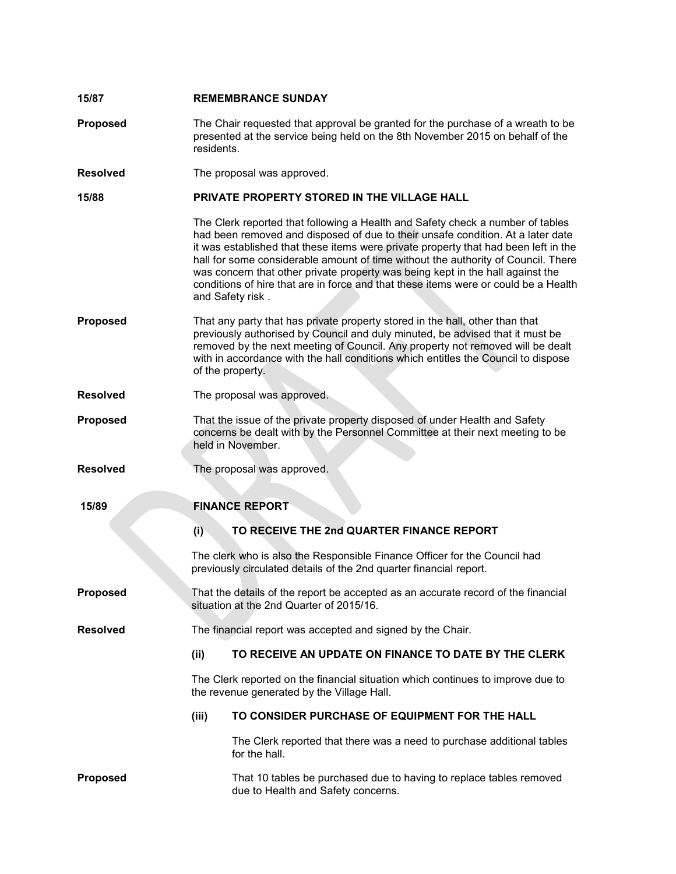| 15/87           | <b>REMEMBRANCE SUNDAY</b>                                                                                                                                                                                                                                                                                                                                |                                                                                                                                                                                                                                                                                                                                                                                                                                                                                                                                            |  |  |
|-----------------|----------------------------------------------------------------------------------------------------------------------------------------------------------------------------------------------------------------------------------------------------------------------------------------------------------------------------------------------------------|--------------------------------------------------------------------------------------------------------------------------------------------------------------------------------------------------------------------------------------------------------------------------------------------------------------------------------------------------------------------------------------------------------------------------------------------------------------------------------------------------------------------------------------------|--|--|
| Proposed        |                                                                                                                                                                                                                                                                                                                                                          | The Chair requested that approval be granted for the purchase of a wreath to be<br>presented at the service being held on the 8th November 2015 on behalf of the<br>residents.                                                                                                                                                                                                                                                                                                                                                             |  |  |
| <b>Resolved</b> | The proposal was approved.                                                                                                                                                                                                                                                                                                                               |                                                                                                                                                                                                                                                                                                                                                                                                                                                                                                                                            |  |  |
| 15/88           |                                                                                                                                                                                                                                                                                                                                                          | PRIVATE PROPERTY STORED IN THE VILLAGE HALL                                                                                                                                                                                                                                                                                                                                                                                                                                                                                                |  |  |
|                 |                                                                                                                                                                                                                                                                                                                                                          | The Clerk reported that following a Health and Safety check a number of tables<br>had been removed and disposed of due to their unsafe condition. At a later date<br>it was established that these items were private property that had been left in the<br>hall for some considerable amount of time without the authority of Council. There<br>was concern that other private property was being kept in the hall against the<br>conditions of hire that are in force and that these items were or could be a Health<br>and Safety risk. |  |  |
| <b>Proposed</b> | That any party that has private property stored in the hall, other than that<br>previously authorised by Council and duly minuted, be advised that it must be<br>removed by the next meeting of Council. Any property not removed will be dealt<br>with in accordance with the hall conditions which entitles the Council to dispose<br>of the property. |                                                                                                                                                                                                                                                                                                                                                                                                                                                                                                                                            |  |  |
| <b>Resolved</b> | The proposal was approved.                                                                                                                                                                                                                                                                                                                               |                                                                                                                                                                                                                                                                                                                                                                                                                                                                                                                                            |  |  |
| <b>Proposed</b> | That the issue of the private property disposed of under Health and Safety<br>concerns be dealt with by the Personnel Committee at their next meeting to be<br>held in November.                                                                                                                                                                         |                                                                                                                                                                                                                                                                                                                                                                                                                                                                                                                                            |  |  |
| <b>Resolved</b> |                                                                                                                                                                                                                                                                                                                                                          | The proposal was approved.                                                                                                                                                                                                                                                                                                                                                                                                                                                                                                                 |  |  |
| 15/89           |                                                                                                                                                                                                                                                                                                                                                          | <b>FINANCE REPORT</b>                                                                                                                                                                                                                                                                                                                                                                                                                                                                                                                      |  |  |
|                 | (i)                                                                                                                                                                                                                                                                                                                                                      | TO RECEIVE THE 2nd QUARTER FINANCE REPORT                                                                                                                                                                                                                                                                                                                                                                                                                                                                                                  |  |  |
|                 |                                                                                                                                                                                                                                                                                                                                                          | The clerk who is also the Responsible Finance Officer for the Council had<br>previously circulated details of the 2nd quarter financial report.                                                                                                                                                                                                                                                                                                                                                                                            |  |  |
| <b>Proposed</b> | That the details of the report be accepted as an accurate record of the financial<br>situation at the 2nd Quarter of 2015/16.                                                                                                                                                                                                                            |                                                                                                                                                                                                                                                                                                                                                                                                                                                                                                                                            |  |  |
| <b>Resolved</b> |                                                                                                                                                                                                                                                                                                                                                          | The financial report was accepted and signed by the Chair.                                                                                                                                                                                                                                                                                                                                                                                                                                                                                 |  |  |
|                 | (ii)                                                                                                                                                                                                                                                                                                                                                     | TO RECEIVE AN UPDATE ON FINANCE TO DATE BY THE CLERK                                                                                                                                                                                                                                                                                                                                                                                                                                                                                       |  |  |
|                 | The Clerk reported on the financial situation which continues to improve due to<br>the revenue generated by the Village Hall.                                                                                                                                                                                                                            |                                                                                                                                                                                                                                                                                                                                                                                                                                                                                                                                            |  |  |
|                 | (iii)                                                                                                                                                                                                                                                                                                                                                    | TO CONSIDER PURCHASE OF EQUIPMENT FOR THE HALL                                                                                                                                                                                                                                                                                                                                                                                                                                                                                             |  |  |
|                 |                                                                                                                                                                                                                                                                                                                                                          | The Clerk reported that there was a need to purchase additional tables<br>for the hall.                                                                                                                                                                                                                                                                                                                                                                                                                                                    |  |  |
| <b>Proposed</b> |                                                                                                                                                                                                                                                                                                                                                          | That 10 tables be purchased due to having to replace tables removed<br>due to Health and Safety concerns.                                                                                                                                                                                                                                                                                                                                                                                                                                  |  |  |